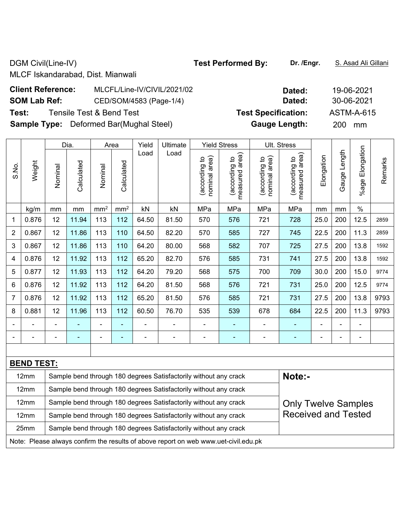DGM Civil(Line-IV) **Test Performed By:** Dr. /Engr. **S. Asad Ali Gillani** Ali Gillani

MLCF Iskandarabad, Dist. Mianwali

| <b>Client Reference:</b> | MLCFL/Line-IV/CIVIL/2021/02                    | Dated:                     | 19-06-2021 |
|--------------------------|------------------------------------------------|----------------------------|------------|
| <b>SOM Lab Ref:</b>      | CED/SOM/4583 (Page-1/4)                        | Dated:                     | 30-06-2021 |
| Test:                    | Tensile Test & Bend Test                       | <b>Test Specification:</b> | ASTM-A-615 |
|                          | <b>Sample Type:</b> Deformed Bar(Mughal Steel) | <b>Gauge Length:</b>       | 200<br>mm  |

|                |                   |                                                                                                | Dia.                                                                       |                 | Area            | Yield | Ultimate                                                         |                                | <b>Yield Stress</b>             |                                | Ult. Stress                        |            |                |                          |         |
|----------------|-------------------|------------------------------------------------------------------------------------------------|----------------------------------------------------------------------------|-----------------|-----------------|-------|------------------------------------------------------------------|--------------------------------|---------------------------------|--------------------------------|------------------------------------|------------|----------------|--------------------------|---------|
| S.No.          | Weight            | Nominal                                                                                        | Calculated                                                                 | Nominal         | Calculated      | Load  | Load                                                             | nominal area)<br>(according to | measured area)<br>(according to | nominal area)<br>(according to | area)<br>(according to<br>measured | Elongation | Gauge Length   | %age Elongation          | Remarks |
|                | kg/m              | mm                                                                                             | $\mathsf{mm}$                                                              | mm <sup>2</sup> | mm <sup>2</sup> | kN    | kN                                                               | MPa                            | MPa                             | MPa                            | MPa                                | mm         | mm             | $\%$                     |         |
| 1              | 0.876             | 12                                                                                             | 11.94                                                                      | 113             | 112             | 64.50 | 81.50                                                            | 570                            | 576                             | 721                            | 728                                | 25.0       | 200            | 12.5                     | 2859    |
| $\overline{2}$ | 0.867             | 12                                                                                             | 11.86                                                                      | 113             | 110             | 64.50 | 82.20                                                            | 570                            | 585                             | 727                            | 745                                | 22.5       | 200            | 11.3                     | 2859    |
| 3              | 0.867             | 12                                                                                             | 11.86                                                                      | 113             | 110             | 64.20 | 80.00                                                            | 568                            | 582                             | 707                            | 725                                | 27.5       | 200            | 13.8                     | 1592    |
| 4              | 0.876             | 12                                                                                             | 11.92                                                                      | 113             | 112             | 65.20 | 82.70                                                            | 576                            | 585                             | 731                            | 741                                | 27.5       | 200            | 13.8                     | 1592    |
| 5              | 0.877             | 12                                                                                             | 11.93                                                                      | 113             | 112             | 64.20 | 79.20                                                            | 568                            | 575                             | 700                            | 709                                | 30.0       | 200            | 15.0                     | 9774    |
| 6              | 0.876             | 12                                                                                             | 11.92                                                                      | 113             | 112             | 64.20 | 81.50                                                            | 568                            | 576                             | 721                            | 731                                | 25.0       | 200            | 12.5                     | 9774    |
| $\overline{7}$ | 0.876             | 12                                                                                             | 11.92                                                                      | 113             | 112             | 65.20 | 81.50                                                            | 576                            | 585                             | 721                            | 731                                | 27.5       | 200            | 13.8                     | 9793    |
| 8              | 0.881             | 12                                                                                             | 11.96                                                                      | 113             | 112             | 60.50 | 76.70                                                            | 535                            | 539                             | 678                            | 684                                | 22.5       | 200            | 11.3                     | 9793    |
|                |                   | $\blacksquare$                                                                                 |                                                                            | ÷               | ÷               |       | Ē,                                                               | $\overline{a}$                 |                                 | $\overline{\phantom{a}}$       | $\blacksquare$                     | L,         |                | $\blacksquare$           |         |
|                |                   | $\overline{\phantom{0}}$                                                                       | $\blacksquare$                                                             | $\blacksquare$  | ٠               | ÷     | $\blacksquare$                                                   | $\blacksquare$                 | ÷                               | $\blacksquare$                 | $\blacksquare$                     | Ē,         | $\blacksquare$ | $\overline{\phantom{a}}$ |         |
|                |                   |                                                                                                |                                                                            |                 |                 |       |                                                                  |                                |                                 |                                |                                    |            |                |                          |         |
|                | <b>BEND TEST:</b> |                                                                                                |                                                                            |                 |                 |       |                                                                  |                                |                                 |                                |                                    |            |                |                          |         |
|                | 12mm              |                                                                                                | Note:-<br>Sample bend through 180 degrees Satisfactorily without any crack |                 |                 |       |                                                                  |                                |                                 |                                |                                    |            |                |                          |         |
|                | 12mm              | Sample bend through 180 degrees Satisfactorily without any crack                               |                                                                            |                 |                 |       |                                                                  |                                |                                 |                                |                                    |            |                |                          |         |
|                | 12mm              | Sample bend through 180 degrees Satisfactorily without any crack<br><b>Only Twelve Samples</b> |                                                                            |                 |                 |       |                                                                  |                                |                                 |                                |                                    |            |                |                          |         |
|                | 12mm              |                                                                                                |                                                                            |                 |                 |       | Sample bend through 180 degrees Satisfactorily without any crack |                                |                                 |                                | <b>Received and Tested</b>         |            |                |                          |         |
|                | 25mm              | Sample bend through 180 degrees Satisfactorily without any crack                               |                                                                            |                 |                 |       |                                                                  |                                |                                 |                                |                                    |            |                |                          |         |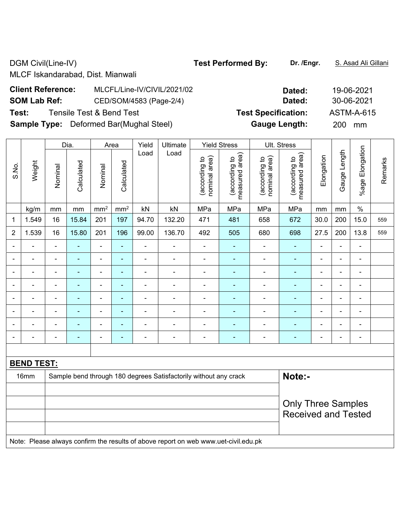DGM Civil(Line-IV) **Test Performed By:** Dr. /Engr. **S. Asad Ali Gillani** Ali Gillani

MLCF Iskandarabad, Dist. Mianwali

| <b>Client Reference:</b> | MLCFL/Line-IV/CIVIL/2021/02                    | Dated:                     | 19-06-2021 |
|--------------------------|------------------------------------------------|----------------------------|------------|
| <b>SOM Lab Ref:</b>      | CED/SOM/4583 (Page-2/4)                        | <b>Dated:</b>              | 30-06-2021 |
| Test:                    | Tensile Test & Bend Test                       | <b>Test Specification:</b> | ASTM-A-615 |
|                          | <b>Sample Type:</b> Deformed Bar(Mughal Steel) | <b>Gauge Length:</b>       | 200 mm     |

|                          |                                                         | Dia.                                                                       |                | Area                     | Yield                    | <b>Ultimate</b> |                | <b>Yield Stress</b>            |                                 | Ult. Stress                    |                                    |                          |                |                              |         |
|--------------------------|---------------------------------------------------------|----------------------------------------------------------------------------|----------------|--------------------------|--------------------------|-----------------|----------------|--------------------------------|---------------------------------|--------------------------------|------------------------------------|--------------------------|----------------|------------------------------|---------|
| S.No.                    | Weight                                                  | Nominal                                                                    | Calculated     | Nominal                  | Calculated               | Load            | Load           | nominal area)<br>(according to | measured area)<br>(according to | nominal area)<br>(according to | area)<br>(according to<br>measured | Elongation               | Gauge Length   | %age Elongation              | Remarks |
|                          | kg/m                                                    | mm                                                                         | mm             | mm <sup>2</sup>          | mm <sup>2</sup>          | kN              | kN             | MPa                            | MPa                             | MPa                            | MPa                                | mm                       | mm             | $\%$                         |         |
| 1                        | 1.549                                                   | 16                                                                         | 15.84          | 201                      | 197                      | 94.70           | 132.20         | 471                            | 481                             | 658                            | 672                                | 30.0                     | 200            | 15.0                         | 559     |
| $\overline{2}$           | 1.539                                                   | 16                                                                         | 15.80          | 201                      | 196                      | 99.00           | 136.70         | 492                            | 505                             | 680                            | 698                                | 27.5                     | 200            | 13.8                         | 559     |
| $\overline{\phantom{a}}$ | $\blacksquare$                                          | $\blacksquare$                                                             | ä,             | $\blacksquare$           | $\blacksquare$           | ä,              | $\blacksquare$ | $\blacksquare$                 | ÷,                              | $\blacksquare$                 | $\blacksquare$                     | $\blacksquare$           | ä,             | $\blacksquare$               |         |
|                          |                                                         | $\blacksquare$                                                             | $\blacksquare$ | $\blacksquare$           | $\blacksquare$           | $\blacksquare$  | $\blacksquare$ | $\blacksquare$                 | $\blacksquare$                  | $\blacksquare$                 | $\blacksquare$                     | $\overline{\phantom{a}}$ | $\blacksquare$ | $\blacksquare$               |         |
|                          |                                                         | $\blacksquare$                                                             | $\blacksquare$ | $\blacksquare$           | $\blacksquare$           | $\blacksquare$  | $\blacksquare$ | $\blacksquare$                 | ۰                               | $\blacksquare$                 | $\blacksquare$                     | $\blacksquare$           | $\blacksquare$ | $\blacksquare$               |         |
| $\overline{\phantom{a}}$ | $\blacksquare$                                          | $\overline{\phantom{a}}$                                                   | $\blacksquare$ | $\overline{\phantom{a}}$ | $\blacksquare$           | $\blacksquare$  | $\blacksquare$ | $\blacksquare$                 | $\blacksquare$                  | $\overline{a}$                 | $\blacksquare$                     | $\blacksquare$           | $\blacksquare$ | $\blacksquare$               |         |
|                          | $\blacksquare$                                          | $\blacksquare$                                                             | $\blacksquare$ | $\overline{\phantom{a}}$ | $\blacksquare$           | $\blacksquare$  | $\blacksquare$ | $\blacksquare$                 | ۰                               | $\blacksquare$                 | $\blacksquare$                     | $\overline{\phantom{a}}$ | $\blacksquare$ | $\blacksquare$               |         |
|                          |                                                         | $\blacksquare$                                                             | $\blacksquare$ | $\blacksquare$           | $\overline{\phantom{a}}$ | $\blacksquare$  | $\blacksquare$ | $\blacksquare$                 |                                 | $\overline{\phantom{0}}$       | $\blacksquare$                     | $\overline{\phantom{0}}$ | L,             | $\blacksquare$               |         |
|                          |                                                         | ٠                                                                          |                | $\overline{\phantom{0}}$ | ÷                        | $\blacksquare$  |                |                                |                                 |                                |                                    |                          | $\blacksquare$ | $\blacksquare$               |         |
| $\overline{\phantom{a}}$ |                                                         | $\qquad \qquad \blacksquare$                                               |                | $\blacksquare$           | ۰                        | ÷               | $\blacksquare$ | $\qquad \qquad \blacksquare$   | ä,                              | $\overline{a}$                 | $\blacksquare$                     | ÷                        | -              | $\qquad \qquad \blacksquare$ |         |
|                          |                                                         |                                                                            |                |                          |                          |                 |                |                                |                                 |                                |                                    |                          |                |                              |         |
|                          | <b>BEND TEST:</b>                                       |                                                                            |                |                          |                          |                 |                |                                |                                 |                                |                                    |                          |                |                              |         |
|                          | 16mm                                                    | Note:-<br>Sample bend through 180 degrees Satisfactorily without any crack |                |                          |                          |                 |                |                                |                                 |                                |                                    |                          |                |                              |         |
|                          |                                                         |                                                                            |                |                          |                          |                 |                |                                |                                 |                                |                                    |                          |                |                              |         |
|                          | <b>Only Three Samples</b><br><b>Received and Tested</b> |                                                                            |                |                          |                          |                 |                |                                |                                 |                                |                                    |                          |                |                              |         |
|                          |                                                         |                                                                            |                |                          |                          |                 |                |                                |                                 |                                |                                    |                          |                |                              |         |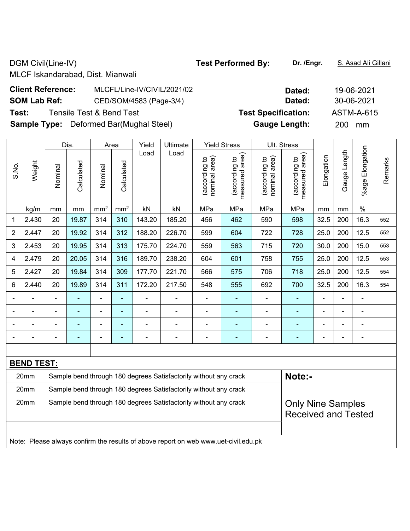DGM Civil(Line-IV) **Test Performed By:** Dr. /Engr. **S. Asad Ali Gillani** 

MLCF Iskandarabad, Dist. Mianwali

| <b>Client Reference:</b> | MLCFL/Line-IV/CIVIL/2021/02                    | Dated:                     | 19-06-2021 |
|--------------------------|------------------------------------------------|----------------------------|------------|
| <b>SOM Lab Ref:</b>      | CED/SOM/4583 (Page-3/4)                        | Dated:                     | 30-06-2021 |
| Test:                    | Tensile Test & Bend Test                       | <b>Test Specification:</b> | ASTM-A-615 |
|                          | <b>Sample Type:</b> Deformed Bar(Mughal Steel) | <b>Gauge Length:</b>       | 200 mm     |

|                                                                          |                                                                          |                                                                  | Dia.           |                 | Area            | Yield  | Ultimate                 |                                | <b>Yield Stress</b>             |                                | Ult. Stress                        |                |                |                       |         |
|--------------------------------------------------------------------------|--------------------------------------------------------------------------|------------------------------------------------------------------|----------------|-----------------|-----------------|--------|--------------------------|--------------------------------|---------------------------------|--------------------------------|------------------------------------|----------------|----------------|-----------------------|---------|
| S.No.                                                                    | Weight                                                                   | Nominal                                                          | Calculated     | Nominal         | Calculated      | Load   | Load                     | nominal area)<br>(according to | measured area)<br>(according to | nominal area)<br>(according to | area)<br>(according to<br>measured | Elongation     | Gauge Length   | Elongation<br>$%$ age | Remarks |
|                                                                          | kg/m                                                                     | mm                                                               | mm             | mm <sup>2</sup> | mm <sup>2</sup> | kN     | kN                       | MPa                            | MPa                             | MPa                            | MPa                                | mm             | mm             | $\frac{0}{0}$         |         |
| 1                                                                        | 2.430                                                                    | 20                                                               | 19.87          | 314             | 310             | 143.20 | 185.20                   | 456                            | 462                             | 590                            | 598                                | 32.5           | 200            | 16.3                  | 552     |
| 2                                                                        | 2.447                                                                    | 20                                                               | 19.92          | 314             | 312             | 188.20 | 226.70                   | 599                            | 604                             | 722                            | 728                                | 25.0           | 200            | 12.5                  | 552     |
| 3                                                                        | 2.453                                                                    | 20                                                               | 19.95          | 314             | 313             | 175.70 | 224.70                   | 559                            | 563                             | 715                            | 720                                | 30.0           | 200            | 15.0                  | 553     |
| 4                                                                        | 2.479                                                                    | 20                                                               | 20.05          | 314             | 316             | 189.70 | 238.20                   | 604                            | 601                             | 758                            | 755                                | 25.0           | 200            | 12.5                  | 553     |
| 5                                                                        | 2.427                                                                    | 20                                                               | 19.84          | 314             | 309             | 177.70 | 221.70                   | 566                            | 575                             | 706                            | 718                                | 25.0           | 200            | 12.5                  | 554     |
| 6                                                                        | 2.440                                                                    | 20                                                               | 19.89          | 314             | 311             | 172.20 | 217.50                   | 548                            | 555                             | 692                            | 700                                | 32.5           | 200            | 16.3                  | 554     |
|                                                                          |                                                                          | $\blacksquare$                                                   |                | ä,              | ÷               |        |                          | $\blacksquare$                 |                                 |                                |                                    | $\blacksquare$ | $\blacksquare$ | $\blacksquare$        |         |
|                                                                          |                                                                          |                                                                  | $\blacksquare$ | $\blacksquare$  | ÷               |        |                          |                                |                                 |                                | $\overline{\phantom{0}}$           |                | ä,             | L,                    |         |
|                                                                          |                                                                          |                                                                  |                |                 |                 |        |                          | $\overline{\phantom{0}}$       |                                 |                                |                                    |                | L              | $\blacksquare$        |         |
|                                                                          |                                                                          | $\blacksquare$                                                   |                | $\blacksquare$  | ۰               |        | $\overline{\phantom{0}}$ | $\blacksquare$                 |                                 |                                |                                    | $\blacksquare$ | $\blacksquare$ | $\blacksquare$        |         |
|                                                                          |                                                                          |                                                                  |                |                 |                 |        |                          |                                |                                 |                                |                                    |                |                |                       |         |
|                                                                          | <b>BEND TEST:</b>                                                        |                                                                  |                |                 |                 |        |                          |                                |                                 |                                |                                    |                |                |                       |         |
|                                                                          | 20mm                                                                     | Sample bend through 180 degrees Satisfactorily without any crack |                |                 |                 |        |                          |                                |                                 |                                | Note:-                             |                |                |                       |         |
| 20mm<br>Sample bend through 180 degrees Satisfactorily without any crack |                                                                          |                                                                  |                |                 |                 |        |                          |                                |                                 |                                |                                    |                |                |                       |         |
|                                                                          | 20mm<br>Sample bend through 180 degrees Satisfactorily without any crack |                                                                  |                |                 |                 |        |                          |                                | <b>Only Nine Samples</b>        |                                |                                    |                |                |                       |         |
|                                                                          |                                                                          |                                                                  |                |                 |                 |        |                          |                                |                                 | <b>Received and Tested</b>     |                                    |                |                |                       |         |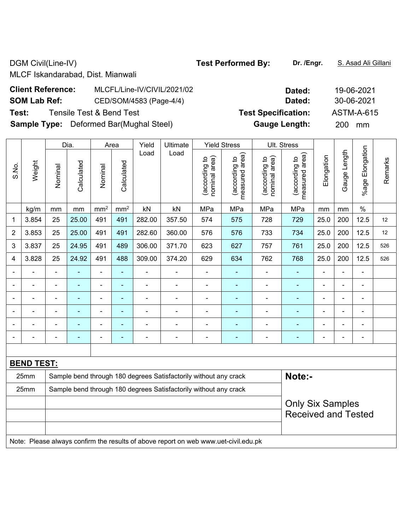DGM Civil(Line-IV) **Test Performed By:** Dr. /Engr. **S. Asad Ali Gillani** Ali Gillani

MLCF Iskandarabad, Dist. Mianwali

| <b>Client Reference:</b> | MLCFL/Line-IV/CIVIL/2021/02                    | Dated:                     | 19-06-2021       |
|--------------------------|------------------------------------------------|----------------------------|------------------|
| <b>SOM Lab Ref:</b>      | CED/SOM/4583 (Page-4/4)                        | Dated:                     | 30-06-2021       |
| Test:                    | Tensile Test & Bend Test                       | <b>Test Specification:</b> | ASTM-A-615       |
|                          | <b>Sample Type:</b> Deformed Bar(Mughal Steel) | <b>Gauge Length:</b>       | <b>200</b><br>mm |

|                |                   |                                                                  | Dia.           |                 | Area            | Yield          | Ultimate       |                                | <b>Yield Stress</b>                         |                                | Ult. Stress                     |                |                |                      |         |
|----------------|-------------------|------------------------------------------------------------------|----------------|-----------------|-----------------|----------------|----------------|--------------------------------|---------------------------------------------|--------------------------------|---------------------------------|----------------|----------------|----------------------|---------|
| S.No.          | Weight            | Nominal                                                          | Calculated     | Nominal         | Calculated      | Load           | Load           | nominal area)<br>(according to | (according to<br>measured area)<br>measured | nominal area)<br>(according to | (according to<br>measured area) | Elongation     | Gauge Length   | Elongation<br>%age I | Remarks |
|                | kg/m              | mm                                                               | mm             | mm <sup>2</sup> | mm <sup>2</sup> | kN             | kN             | MPa                            | MPa                                         | MPa                            | MPa                             | mm             | mm             | $\%$                 |         |
| 1              | 3.854             | 25                                                               | 25.00          | 491             | 491             | 282.00         | 357.50         | 574                            | 575                                         | 728                            | 729                             | 25.0           | 200            | 12.5                 | 12      |
| $\overline{2}$ | 3.853             | 25                                                               | 25.00          | 491             | 491             | 282.60         | 360.00         | 576                            | 576                                         | 733                            | 734                             | 25.0           | 200            | 12.5                 | 12      |
| 3              | 3.837             | 25                                                               | 24.95          | 491             | 489             | 306.00         | 371.70         | 623                            | 627                                         | 757                            | 761                             | 25.0           | 200            | 12.5                 | 526     |
| 4              | 3.828             | 25                                                               | 24.92          | 491             | 488             | 309.00         | 374.20         | 629                            | 634                                         | 762                            | 768                             | 25.0           | 200            | 12.5                 | 526     |
| $\blacksquare$ | ÷                 | $\blacksquare$                                                   | $\blacksquare$ | ä,              | ÷,              | $\blacksquare$ | $\blacksquare$ | $\blacksquare$                 | ۰                                           | ÷                              | $\blacksquare$                  | ä,             | $\overline{a}$ | $\blacksquare$       |         |
|                | $\blacksquare$    | $\blacksquare$                                                   | $\blacksquare$ | $\blacksquare$  | $\blacksquare$  | $\blacksquare$ | $\blacksquare$ | $\blacksquare$                 | ÷                                           | $\overline{\phantom{0}}$       | $\blacksquare$                  | $\blacksquare$ | $\blacksquare$ | $\blacksquare$       |         |
|                | ÷                 | $\blacksquare$                                                   | ÷              | $\blacksquare$  | ٠               | $\blacksquare$ | $\blacksquare$ | ÷                              | ۰                                           | ÷                              | $\blacksquare$                  | $\blacksquare$ | $\blacksquare$ | $\blacksquare$       |         |
|                |                   |                                                                  | $\blacksquare$ | ۰               | $\blacksquare$  |                |                |                                |                                             | $\blacksquare$                 | ÷                               |                |                | $\blacksquare$       |         |
|                |                   |                                                                  | ٠              | ÷               | $\blacksquare$  |                |                |                                |                                             |                                |                                 | $\blacksquare$ |                | $\blacksquare$       |         |
|                |                   |                                                                  | ÷              | ÷               | ÷               | Ē,             |                | ÷                              | ۰                                           | ÷                              | $\blacksquare$                  | L,             |                | ÷,                   |         |
|                |                   |                                                                  |                |                 |                 |                |                |                                |                                             |                                |                                 |                |                |                      |         |
|                | <b>BEND TEST:</b> |                                                                  |                |                 |                 |                |                |                                |                                             |                                |                                 |                |                |                      |         |
|                | 25mm              | Sample bend through 180 degrees Satisfactorily without any crack |                |                 |                 |                |                |                                |                                             | Note:-                         |                                 |                |                |                      |         |
|                | 25mm              | Sample bend through 180 degrees Satisfactorily without any crack |                |                 |                 |                |                |                                |                                             |                                |                                 |                |                |                      |         |
|                |                   |                                                                  |                |                 |                 |                |                |                                |                                             |                                | <b>Only Six Samples</b>         |                |                |                      |         |
|                |                   |                                                                  |                |                 |                 |                |                |                                |                                             |                                | <b>Received and Tested</b>      |                |                |                      |         |
|                |                   |                                                                  |                |                 |                 |                |                |                                |                                             |                                |                                 |                |                |                      |         |
|                |                   |                                                                  |                |                 |                 |                |                |                                |                                             |                                |                                 |                |                |                      |         |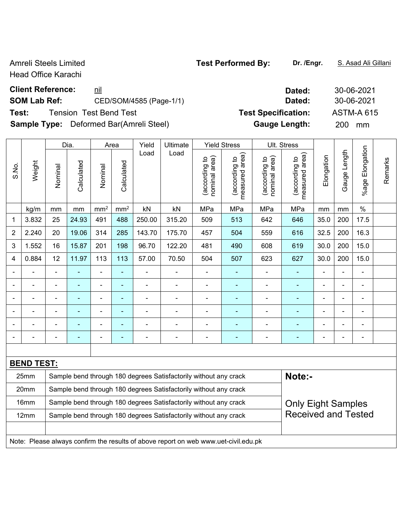Head Office Karachi

# **Client Reference:** nil **Dated:** 30-06-2021

# **SOM Lab Ref:** CED/SOM/4585 (Page-1/1) **Dated:** 30-06-2021

**Test:** Tension Test Bend Test **Test Specification:** ASTM-A 615

**Sample Type:** Deformed Bar(Amreli Steel) **Gauge Length:** 200 mm

|                | Dia.              |                                                                                                |                | Area                         |                 | Yield          | Ultimate                                                                            |                                | <b>Yield Stress</b>             |                                | Ult. Stress                     |                          |                |                          |         |
|----------------|-------------------|------------------------------------------------------------------------------------------------|----------------|------------------------------|-----------------|----------------|-------------------------------------------------------------------------------------|--------------------------------|---------------------------------|--------------------------------|---------------------------------|--------------------------|----------------|--------------------------|---------|
| S.No.          | Weight            | Nominal                                                                                        | Calculated     | Nominal                      | Calculated      | Load           | Load                                                                                | nominal area)<br>(according to | measured area)<br>(according to | (according to<br>nominal area) | measured area)<br>(according to | Elongation               | Gauge Length   | Elongation<br>%age       | Remarks |
|                | kg/m              | mm                                                                                             | mm             | mm <sup>2</sup>              | mm <sup>2</sup> | kN             | kN                                                                                  | MPa                            | MPa                             | MPa                            | MPa                             | mm                       | mm             | $\%$                     |         |
| 1              | 3.832             | 25                                                                                             | 24.93          | 491                          | 488             | 250.00         | 315.20                                                                              | 509                            | 513                             | 642                            | 646                             | 35.0                     | 200            | 17.5                     |         |
| $\overline{2}$ | 2.240             | 20                                                                                             | 19.06          | 314                          | 285             | 143.70         | 175.70                                                                              | 457                            | 504                             | 559                            | 616                             | 32.5                     | 200            | 16.3                     |         |
| 3              | 1.552             | 16                                                                                             | 15.87          | 201                          | 198             | 96.70          | 122.20                                                                              | 481                            | 490                             | 608                            | 619                             | 30.0                     | 200            | 15.0                     |         |
| 4              | 0.884             | 12                                                                                             | 11.97          | 113                          | 113             | 57.00          | 70.50                                                                               | 504                            | 507                             | 623                            | 627                             | 30.0                     | 200            | 15.0                     |         |
|                |                   | $\blacksquare$                                                                                 | ä,             | ÷,                           | ä,              | ÷              | ÷                                                                                   | $\blacksquare$                 | $\blacksquare$                  | $\blacksquare$                 | ÷,                              | $\blacksquare$           | L,             | ä,                       |         |
|                |                   | $\blacksquare$                                                                                 | ä,             | ۰                            | ٠               | ÷              | $\blacksquare$                                                                      | $\blacksquare$                 | $\blacksquare$                  | $\blacksquare$                 | $\blacksquare$                  | $\blacksquare$           | L,             | $\overline{\phantom{a}}$ |         |
|                |                   | $\blacksquare$                                                                                 | $\blacksquare$ | $\qquad \qquad \blacksquare$ | ٠               | ÷              | $\blacksquare$                                                                      | $\blacksquare$                 | $\blacksquare$                  | $\blacksquare$                 | $\blacksquare$                  | $\overline{\phantom{a}}$ | L              | $\blacksquare$           |         |
|                | ۳                 | $\blacksquare$                                                                                 | ä,             | ÷,                           | ٠               | $\blacksquare$ | $\blacksquare$                                                                      | $\blacksquare$                 | $\blacksquare$                  | $\blacksquare$                 | $\blacksquare$                  | $\blacksquare$           | L,             | $\blacksquare$           |         |
|                |                   |                                                                                                |                | $\blacksquare$               | ۰               |                | ä,                                                                                  | L,                             | $\blacksquare$                  |                                | ä,                              | ä,                       |                | ä,                       |         |
|                |                   |                                                                                                |                |                              |                 |                |                                                                                     | $\blacksquare$                 | ٠                               |                                | ۰                               |                          | $\blacksquare$ | $\overline{\phantom{0}}$ |         |
|                |                   |                                                                                                |                |                              |                 |                |                                                                                     |                                |                                 |                                |                                 |                          |                |                          |         |
|                | <b>BEND TEST:</b> |                                                                                                |                |                              |                 |                |                                                                                     |                                |                                 |                                |                                 |                          |                |                          |         |
|                | 25mm              | Note:-<br>Sample bend through 180 degrees Satisfactorily without any crack                     |                |                              |                 |                |                                                                                     |                                |                                 |                                |                                 |                          |                |                          |         |
|                | 20mm              |                                                                                                |                |                              |                 |                | Sample bend through 180 degrees Satisfactorily without any crack                    |                                |                                 |                                |                                 |                          |                |                          |         |
|                | 16mm              | Sample bend through 180 degrees Satisfactorily without any crack<br><b>Only Eight Samples</b>  |                |                              |                 |                |                                                                                     |                                |                                 |                                |                                 |                          |                |                          |         |
|                | 12mm              | <b>Received and Tested</b><br>Sample bend through 180 degrees Satisfactorily without any crack |                |                              |                 |                |                                                                                     |                                |                                 |                                |                                 |                          |                |                          |         |
|                |                   |                                                                                                |                |                              |                 |                |                                                                                     |                                |                                 |                                |                                 |                          |                |                          |         |
|                |                   |                                                                                                |                |                              |                 |                | Note: Please always confirm the results of above report on web www.uet-civil.edu.pk |                                |                                 |                                |                                 |                          |                |                          |         |

| Amreli Steels Limited | <b>Test Performed By:</b> | Dr. /Engr. | S. Asad Ali Gillani |
|-----------------------|---------------------------|------------|---------------------|
|-----------------------|---------------------------|------------|---------------------|

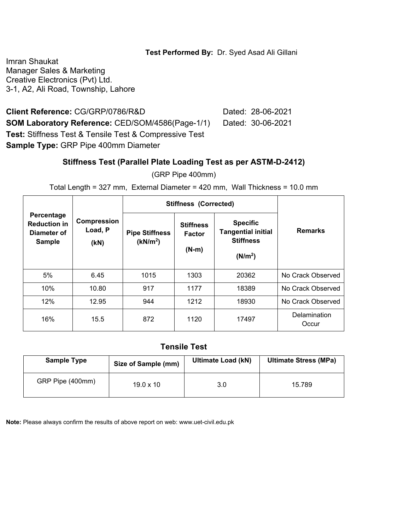#### **Test Performed By:** Dr. Syed Asad Ali Gillani

Imran Shaukat Manager Sales & Marketing Creative Electronics (Pvt) Ltd. 3-1, A2, Ali Road, Township, Lahore

**Client Reference:** CG/GRP/0786/R&D Dated: 28-06-2021 **SOM Laboratory Reference: CED/SOM/4586(Page-1/1) Dated: 30-06-2021 Test:** Stiffness Test & Tensile Test & Compressive Test **Sample Type:** GRP Pipe 400mm Diameter

#### **Stiffness Test (Parallel Plate Loading Test as per ASTM-D-2412)**

(GRP Pipe 400mm)

Total Length = 327 mm, External Diameter = 420 mm, Wall Thickness = 10.0 mm

|                                                                   |                                       |                                                                                               | <b>Stiffness (Corrected)</b> |                                                                                         |                       |  |  |
|-------------------------------------------------------------------|---------------------------------------|-----------------------------------------------------------------------------------------------|------------------------------|-----------------------------------------------------------------------------------------|-----------------------|--|--|
| Percentage<br><b>Reduction in</b><br>Diameter of<br><b>Sample</b> | <b>Compression</b><br>Load, P<br>(kN) | <b>Stiffness</b><br><b>Pipe Stiffness</b><br><b>Factor</b><br>(kN/m <sup>2</sup> )<br>$(N-m)$ |                              | <b>Specific</b><br><b>Tangential initial</b><br><b>Stiffness</b><br>(N/m <sup>2</sup> ) | <b>Remarks</b>        |  |  |
| 5%                                                                | 6.45                                  | 1015                                                                                          | 1303                         | 20362                                                                                   | No Crack Observed     |  |  |
| 10%                                                               | 10.80                                 | 917                                                                                           | 1177                         | 18389                                                                                   | No Crack Observed     |  |  |
| 12%                                                               | 12.95                                 | 944                                                                                           | 1212                         | 18930                                                                                   | No Crack Observed     |  |  |
| 16%                                                               | 15.5                                  | 872                                                                                           | 1120                         | 17497                                                                                   | Delamination<br>Occur |  |  |

#### **Tensile Test**

| <b>Sample Type</b> | Size of Sample (mm) | <b>Ultimate Load (kN)</b> | <b>Ultimate Stress (MPa)</b> |  |  |
|--------------------|---------------------|---------------------------|------------------------------|--|--|
| GRP Pipe (400mm)   | $19.0 \times 10$    | 3.0                       | 15.789                       |  |  |